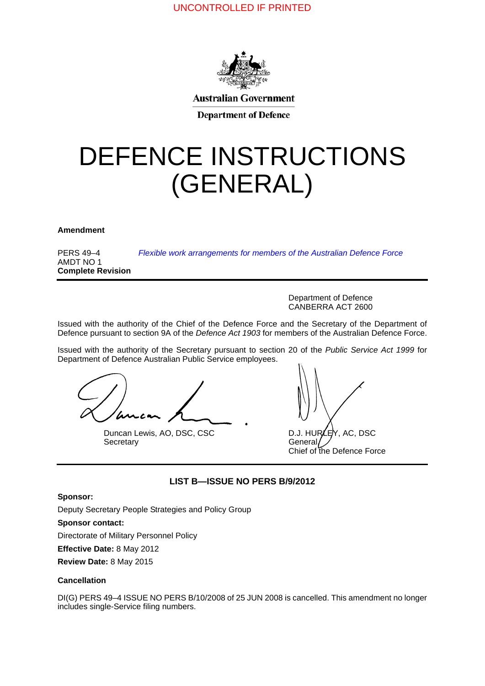

**Australian Government** 

**Department of Defence** 

# DEFENCE INSTRUCTIONS (GENERAL)

**Amendment <sup>0</sup>**

PERS 49–4 AMDT NO 1 **Complete Revision** *[Flexible work arrangements for members of the Australian Defence Force](#page-2-0)*

> Department of Defence CANBERRA ACT 2600

Issued with the authority of the Chief of the Defence Force and the Secretary of the Department of Defence pursuant to section 9A of the *Defence Act 1903* for members of the Australian Defence Force.

Issued with the authority of the Secretary pursuant to section 20 of the *Public Service Act 1999* for Department of Defence Australian Public Service employees.

Duncan Lewis, AO, DSC, CSC D.J. HURLEY, AC, DSC<br>Secretary General Secretary

Chief of the Defence Force

## **LIST B—ISSUE NO PERS B/9/2012**

#### **Sponsor:**

Deputy Secretary People Strategies and Policy Group

**Sponsor contact:** 

Directorate of Military Personnel Policy

**Effective Date:** 8 May 2012

**Review Date:** 8 May 2015

#### **Cancellation <sup>1</sup>**

DI(G) PERS 49–4 ISSUE NO PERS B/10/2008 of 25 JUN 2008 is cancelled. This amendment no longer includes single-Service filing numbers.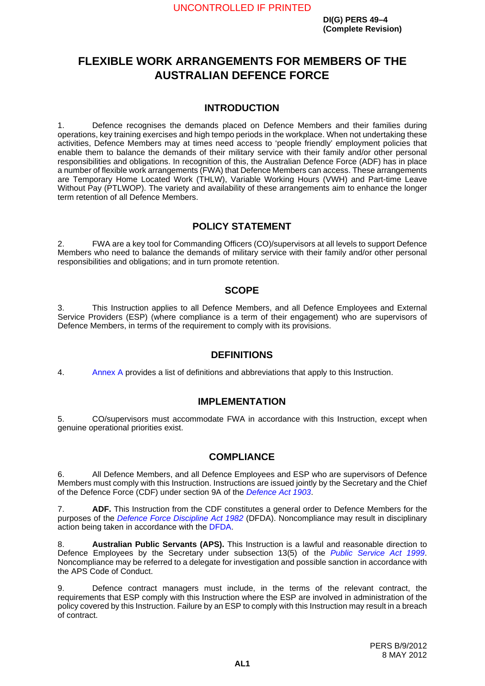# <span id="page-2-0"></span>**FLEXIBLE WORK ARRANGEMENTS FOR MEMBERS OF THE AUSTRALIAN DEFENCE FORCE**

## **INTRODUCTION <sup>1</sup>**

1. Defence recognises the demands placed on Defence Members and their families during operations, key training exercises and high tempo periods in the workplace. When not undertaking these activities, Defence Members may at times need access to 'people friendly' employment policies that enable them to balance the demands of their military service with their family and/or other personal responsibilities and obligations. In recognition of this, the Australian Defence Force (ADF) has in place a number of flexible work arrangements (FWA) that Defence Members can access. These arrangements are Temporary Home Located Work (THLW), Variable Working Hours (VWH) and Part-time Leave Without Pay (PTLWOP). The variety and availability of these arrangements aim to enhance the longer term retention of all Defence Members.

## **POLICY STATEMENT <sup>2</sup>**

2. FWA are a key tool for Commanding Officers (CO)/supervisors at all levels to support Defence Members who need to balance the demands of military service with their family and/or other personal responsibilities and obligations; and in turn promote retention.

## **SCOPE <sup>3</sup>**

3. This Instruction applies to all Defence Members, and all Defence Employees and External Service Providers (ESP) (where compliance is a term of their engagement) who are supervisors of Defence Members, in terms of the requirement to comply with its provisions.

## **DEFINITIONS <sup>4</sup>**

4. [Annex](#page-14-0) A provides a list of definitions and abbreviations that apply to this Instruction.

## **IMPLEMENTATION**

5. CO/supervisors must accommodate FWA in accordance with this Instruction, except when genuine operational priorities exist.

## **COMPLIANCE <sup>6</sup>**

6. All Defence Members, and all Defence Employees and ESP who are supervisors of Defence Members must comply with this Instruction. Instructions are issued jointly by the Secretary and the Chief of the Defence Force (CDF) under section 9A of the *[Defence Act 1903](http://www.comlaw.gov.au/Series/C2004A07381)*.

7. **ADF.** This Instruction from the CDF constitutes a general order to Defence Members for the purposes of the *[Defence Force Discipline Act 1982](http://www.comlaw.gov.au/Series/C2004A02711)* (DFDA). Noncompliance may result in disciplinary action being taken in accordance with the [DFDA](http://www.comlaw.gov.au/Series/C2004A02711).

8. **Australian Public Servants (APS).** This Instruction is a lawful and reasonable direction to Defence Employees by the Secretary under subsection 13(5) of the *[Public Service Act 1999](http://www.comlaw.gov.au/Series/C2004A00538)*. Noncompliance may be referred to a delegate for investigation and possible sanction in accordance with the APS Code of Conduct.

9. Defence contract managers must include, in the terms of the relevant contract, the requirements that ESP comply with this Instruction where the ESP are involved in administration of the policy covered by this Instruction. Failure by an ESP to comply with this Instruction may result in a breach of contract.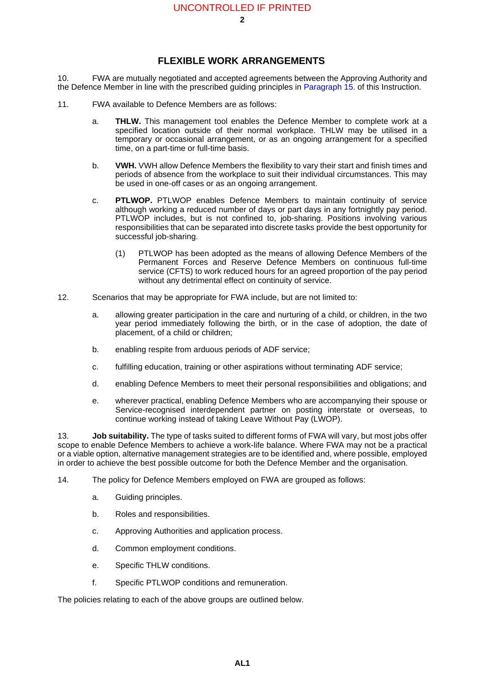## **FLEXIBLE WORK ARRANGEMENTS**

10. FWA are mutually negotiated and accepted agreements between the Approving Authority and the Defence Member in line with the prescribed guiding principles in [Paragraph](#page-4-0) 15. of this Instruction.

- 11. FWA available to Defence Members are as follows:
	- a. **THLW.** This management tool enables the Defence Member to complete work at a specified location outside of their normal workplace. THLW may be utilised in a temporary or occasional arrangement, or as an ongoing arrangement for a specified time, on a part-time or full-time basis.
	- b. **VWH.** VWH allow Defence Members the flexibility to vary their start and finish times and periods of absence from the workplace to suit their individual circumstances. This may be used in one-off cases or as an ongoing arrangement.
	- c. **PTLWOP.** PTLWOP enables Defence Members to maintain continuity of service although working a reduced number of days or part days in any fortnightly pay period. PTLWOP includes, but is not confined to, job-sharing. Positions involving various responsibilities that can be separated into discrete tasks provide the best opportunity for successful job-sharing.
		- (1) PTLWOP has been adopted as the means of allowing Defence Members of the Permanent Forces and Reserve Defence Members on continuous full-time service (CFTS) to work reduced hours for an agreed proportion of the pay period without any detrimental effect on continuity of service.
- 12. Scenarios that may be appropriate for FWA include, but are not limited to:
	- a. allowing greater participation in the care and nurturing of a child, or children, in the two year period immediately following the birth, or in the case of adoption, the date of placement, of a child or children;
	- b. enabling respite from arduous periods of ADF service;
	- c. fulfilling education, training or other aspirations without terminating ADF service;
	- d. enabling Defence Members to meet their personal responsibilities and obligations; and
	- e. wherever practical, enabling Defence Members who are accompanying their spouse or Service-recognised interdependent partner on posting interstate or overseas, to continue working instead of taking Leave Without Pay (LWOP).

<span id="page-3-0"></span>13. **Job suitability.** The type of tasks suited to different forms of FWA will vary, but most jobs offer scope to enable Defence Members to achieve a work-life balance. Where FWA may not be a practical or a viable option, alternative management strategies are to be identified and, where possible, employed in order to achieve the best possible outcome for both the Defence Member and the organisation.

14. The policy for Defence Members employed on FWA are grouped as follows:

- a. Guiding principles.
- b. Roles and responsibilities.
- c. Approving Authorities and application process.
- d. Common employment conditions.
- e. Specific THLW conditions.
- f. Specific PTLWOP conditions and remuneration.

The policies relating to each of the above groups are outlined below.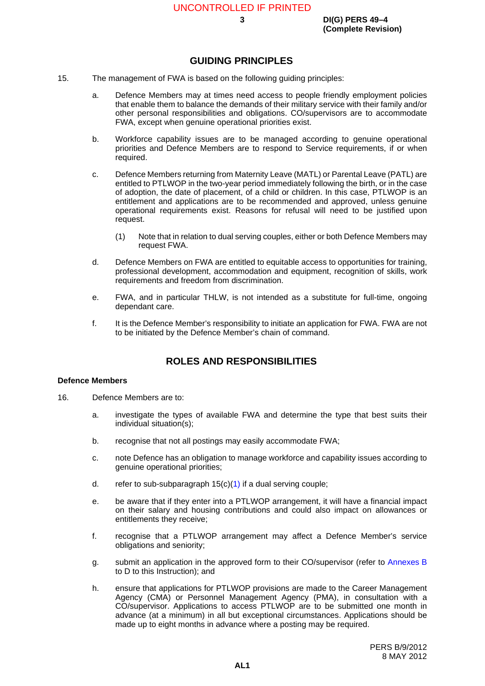## **GUIDING PRINCIPLES <sup>15</sup>**

- <span id="page-4-0"></span>15. The management of FWA is based on the following guiding principles:
	- a. Defence Members may at times need access to people friendly employment policies that enable them to balance the demands of their military service with their family and/or other personal responsibilities and obligations. CO/supervisors are to accommodate FWA, except when genuine operational priorities exist.
	- b. Workforce capability issues are to be managed according to genuine operational priorities and Defence Members are to respond to Service requirements, if or when required.
	- c. Defence Members returning from Maternity Leave (MATL) or Parental Leave (PATL) are entitled to PTLWOP in the two-year period immediately following the birth, or in the case of adoption, the date of placement, of a child or children. In this case, PTLWOP is an entitlement and applications are to be recommended and approved, unless genuine operational requirements exist. Reasons for refusal will need to be justified upon request.
		- (1) Note that in relation to dual serving couples, either or both Defence Members may request FWA.
	- d. Defence Members on FWA are entitled to equitable access to opportunities for training, professional development, accommodation and equipment, recognition of skills, work requirements and freedom from discrimination.
	- e. FWA, and in particular THLW, is not intended as a substitute for full-time, ongoing dependant care.
	- f. It is the Defence Member's responsibility to initiate an application for FWA. FWA are not to be initiated by the Defence Member's chain of command.

## **ROLES AND RESPONSIBILITIES <sup>16</sup>**

#### <span id="page-4-1"></span>**Defence Members**

- 16. Defence Members are to:
	- a. investigate the types of available FWA and determine the type that best suits their individual situation(s);
	- b. recognise that not all postings may easily accommodate FWA;
	- c. note Defence has an obligation to manage workforce and capability issues according to genuine operational priorities;
	- d. refer to sub-subparagraph  $15(c)(1)$  $15(c)(1)$  if a dual serving couple;
	- e. be aware that if they enter into a PTLWOP arrangement, it will have a financial impact on their salary and housing contributions and could also impact on allowances or entitlements they receive;
	- f. recognise that a PTLWOP arrangement may affect a Defence Member's service obligations and seniority;
	- g. submit an application in the approved form to their CO/supervisor (refer to [Annexes](#page-16-0) B to D to this Instruction); and
	- h. ensure that applications for PTLWOP provisions are made to the Career Management Agency (CMA) or Personnel Management Agency (PMA), in consultation with a CO/supervisor. Applications to access PTLWOP are to be submitted one month in advance (at a minimum) in all but exceptional circumstances. Applications should be made up to eight months in advance where a posting may be required.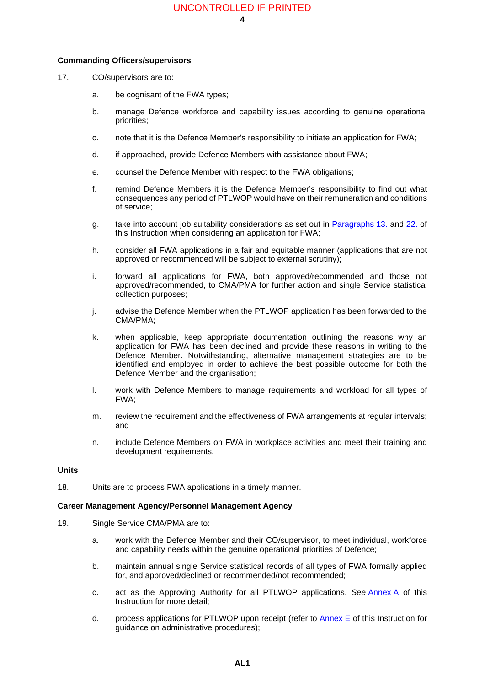## **Commanding Officers/supervisors <sup>17</sup>**

- 17. CO/supervisors are to:
	- a. be cognisant of the FWA types;
	- b. manage Defence workforce and capability issues according to genuine operational priorities;
	- c. note that it is the Defence Member's responsibility to initiate an application for FWA;
	- d. if approached, provide Defence Members with assistance about FWA;
	- e. counsel the Defence Member with respect to the FWA obligations;
	- f. remind Defence Members it is the Defence Member's responsibility to find out what consequences any period of PTLWOP would have on their remuneration and conditions of service;
	- g. take into account job suitability considerations as set out in [Paragraphs](#page-3-0) 13. and [22.](#page-6-0) of this Instruction when considering an application for FWA;
	- h. consider all FWA applications in a fair and equitable manner (applications that are not approved or recommended will be subject to external scrutiny);
	- i. forward all applications for FWA, both approved/recommended and those not approved/recommended, to CMA/PMA for further action and single Service statistical collection purposes;
	- j. advise the Defence Member when the PTLWOP application has been forwarded to the CMA/PMA;
	- k. when applicable, keep appropriate documentation outlining the reasons why an application for FWA has been declined and provide these reasons in writing to the Defence Member. Notwithstanding, alternative management strategies are to be identified and employed in order to achieve the best possible outcome for both the Defence Member and the organisation;
	- l. work with Defence Members to manage requirements and workload for all types of FWA;
	- m. review the requirement and the effectiveness of FWA arrangements at regular intervals; and
	- n. include Defence Members on FWA in workplace activities and meet their training and development requirements.

#### **Units <sup>18</sup>**

18. Units are to process FWA applications in a timely manner.

### **Career Management Agency/Personnel Management Agency <sup>19</sup>**

- 19. Single Service CMA/PMA are to:
	- a. work with the Defence Member and their CO/supervisor, to meet individual, workforce and capability needs within the genuine operational priorities of Defence;
	- b. maintain annual single Service statistical records of all types of FWA formally applied for, and approved/declined or recommended/not recommended;
	- c. act as the Approving Authority for all PTLWOP applications. *See* [Annex](#page-14-0) A of this Instruction for more detail;
	- d. process applications for PTLWOP upon receipt (refer to [Annex](#page-22-0) E of this Instruction for guidance on administrative procedures);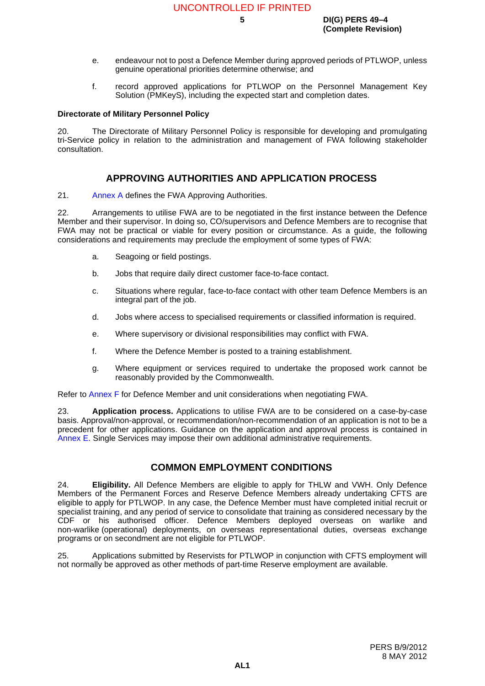- e. endeavour not to post a Defence Member during approved periods of PTLWOP, unless genuine operational priorities determine otherwise; and
- f. record approved applications for PTLWOP on the Personnel Management Key Solution (PMKeyS), including the expected start and completion dates.

### **Directorate of Military Personnel Policy <sup>20</sup>**

20. The Directorate of Military Personnel Policy is responsible for developing and promulgating tri-Service policy in relation to the administration and management of FWA following stakeholder consultation.

## **APPROVING AUTHORITIES AND APPLICATION PROCESS <sup>21</sup>**

21. [Annex](#page-14-0) A defines the FWA Approving Authorities.

<span id="page-6-0"></span>22. Arrangements to utilise FWA are to be negotiated in the first instance between the Defence Member and their supervisor. In doing so, CO/supervisors and Defence Members are to recognise that FWA may not be practical or viable for every position or circumstance. As a guide, the following considerations and requirements may preclude the employment of some types of FWA:

- a. Seagoing or field postings.
- b. Jobs that require daily direct customer face-to-face contact.
- c. Situations where regular, face-to-face contact with other team Defence Members is an integral part of the job.
- d. Jobs where access to specialised requirements or classified information is required.
- e. Where supervisory or divisional responsibilities may conflict with FWA.
- f. Where the Defence Member is posted to a training establishment.
- g. Where equipment or services required to undertake the proposed work cannot be reasonably provided by the Commonwealth.

Refer to [Annex](#page-24-0) F for Defence Member and unit considerations when negotiating FWA.

23. **Application process.** Applications to utilise FWA are to be considered on a case-by-case basis. Approval/non-approval, or recommendation/non-recommendation of an application is not to be a precedent for other applications. Guidance on the application and approval process is contained in [Annex](#page-22-0) E. Single Services may impose their own additional administrative requirements.

## **COMMON EMPLOYMENT CONDITIONS <sup>24</sup>**

24. **Eligibility.** All Defence Members are eligible to apply for THLW and VWH. Only Defence Members of the Permanent Forces and Reserve Defence Members already undertaking CFTS are eligible to apply for PTLWOP. In any case, the Defence Member must have completed initial recruit or specialist training, and any period of service to consolidate that training as considered necessary by the CDF or his authorised officer. Defence Members deployed overseas on warlike and non-warlike (operational) deployments, on overseas representational duties, overseas exchange programs or on secondment are not eligible for PTLWOP.

25. Applications submitted by Reservists for PTLWOP in conjunction with CFTS employment will not normally be approved as other methods of part-time Reserve employment are available.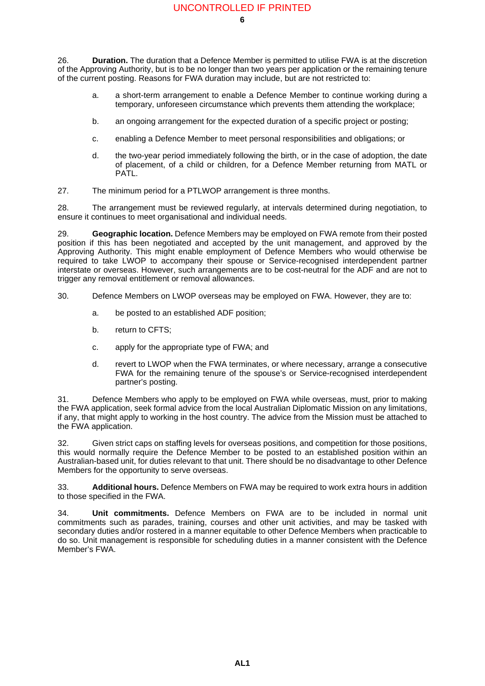<span id="page-7-0"></span>26. **Duration.** The duration that a Defence Member is permitted to utilise FWA is at the discretion of the Approving Authority, but is to be no longer than two years per application or the remaining tenure of the current posting. Reasons for FWA duration may include, but are not restricted to:

- a. a short-term arrangement to enable a Defence Member to continue working during a temporary, unforeseen circumstance which prevents them attending the workplace;
- b. an ongoing arrangement for the expected duration of a specific project or posting;
- c. enabling a Defence Member to meet personal responsibilities and obligations; or
- d. the two-year period immediately following the birth, or in the case of adoption, the date of placement, of a child or children, for a Defence Member returning from MATL or PATL.
- 27. The minimum period for a PTLWOP arrangement is three months.

28. The arrangement must be reviewed regularly, at intervals determined during negotiation, to ensure it continues to meet organisational and individual needs.

29. **Geographic location.** Defence Members may be employed on FWA remote from their posted position if this has been negotiated and accepted by the unit management, and approved by the Approving Authority. This might enable employment of Defence Members who would otherwise be required to take LWOP to accompany their spouse or Service-recognised interdependent partner interstate or overseas. However, such arrangements are to be cost-neutral for the ADF and are not to trigger any removal entitlement or removal allowances.

30. Defence Members on LWOP overseas may be employed on FWA. However, they are to:

- a. be posted to an established ADF position;
- b. return to CFTS;
- c. apply for the appropriate type of FWA; and
- d. revert to LWOP when the FWA terminates, or where necessary, arrange a consecutive FWA for the remaining tenure of the spouse's or Service-recognised interdependent partner's posting.

31. Defence Members who apply to be employed on FWA while overseas, must, prior to making the FWA application, seek formal advice from the local Australian Diplomatic Mission on any limitations, if any, that might apply to working in the host country. The advice from the Mission must be attached to the FWA application.

32. Given strict caps on staffing levels for overseas positions, and competition for those positions, this would normally require the Defence Member to be posted to an established position within an Australian-based unit, for duties relevant to that unit. There should be no disadvantage to other Defence Members for the opportunity to serve overseas.

33. **Additional hours.** Defence Members on FWA may be required to work extra hours in addition to those specified in the FWA.

34. **Unit commitments.** Defence Members on FWA are to be included in normal unit commitments such as parades, training, courses and other unit activities, and may be tasked with secondary duties and/or rostered in a manner equitable to other Defence Members when practicable to do so. Unit management is responsible for scheduling duties in a manner consistent with the Defence Member's FWA.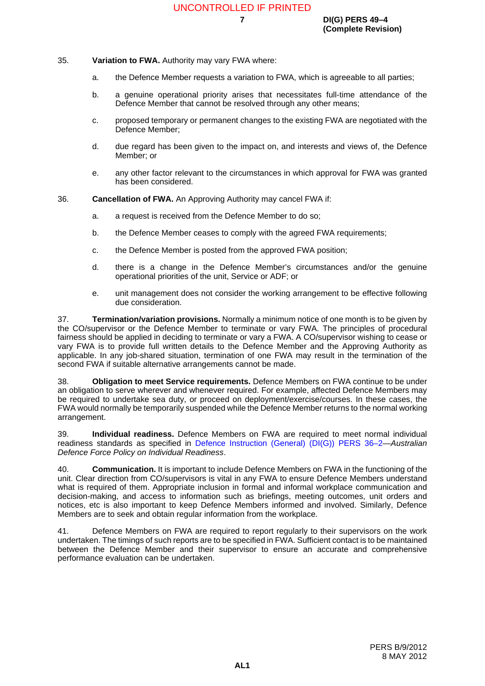**7 DI(G) PERS 49–4 (Complete Revision)**

#### 35. **Variation to FWA.** Authority may vary FWA where:

- a. the Defence Member requests a variation to FWA, which is agreeable to all parties;
- b. a genuine operational priority arises that necessitates full-time attendance of the Defence Member that cannot be resolved through any other means;
- c. proposed temporary or permanent changes to the existing FWA are negotiated with the Defence Member;
- d. due regard has been given to the impact on, and interests and views of, the Defence Member; or
- e. any other factor relevant to the circumstances in which approval for FWA was granted has been considered.

36. **Cancellation of FWA.** An Approving Authority may cancel FWA if:

- a. a request is received from the Defence Member to do so;
- b. the Defence Member ceases to comply with the agreed FWA requirements;
- c. the Defence Member is posted from the approved FWA position;
- d. there is a change in the Defence Member's circumstances and/or the genuine operational priorities of the unit, Service or ADF; or
- e. unit management does not consider the working arrangement to be effective following due consideration.

37. **Termination/variation provisions.** Normally a minimum notice of one month is to be given by the CO/supervisor or the Defence Member to terminate or vary FWA. The principles of procedural fairness should be applied in deciding to terminate or vary a FWA. A CO/supervisor wishing to cease or vary FWA is to provide full written details to the Defence Member and the Approving Authority as applicable. In any job-shared situation, termination of one FWA may result in the termination of the second FWA if suitable alternative arrangements cannot be made.

38. **Obligation to meet Service requirements.** Defence Members on FWA continue to be under an obligation to serve wherever and whenever required. For example, affected Defence Members may be required to undertake sea duty, or proceed on deployment/exercise/courses. In these cases, the FWA would normally be temporarily suspended while the Defence Member returns to the normal working arrangement.

39. **Individual readiness.** Defence Members on FWA are required to meet normal individual readiness standards as specified in [Defence Instruction \(General\) \(DI\(G\)\) PERS 36–2—](http://intranet.defence.gov.au/home/documents/DATA/ADFPUBS/DIG/GP36_02.PDF)*Australian Defence Force Policy on Individual Readiness*.

40. **Communication.** It is important to include Defence Members on FWA in the functioning of the unit. Clear direction from CO/supervisors is vital in any FWA to ensure Defence Members understand what is required of them. Appropriate inclusion in formal and informal workplace communication and decision-making, and access to information such as briefings, meeting outcomes, unit orders and notices, etc is also important to keep Defence Members informed and involved. Similarly, Defence Members are to seek and obtain regular information from the workplace.

41. Defence Members on FWA are required to report regularly to their supervisors on the work undertaken. The timings of such reports are to be specified in FWA. Sufficient contact is to be maintained between the Defence Member and their supervisor to ensure an accurate and comprehensive performance evaluation can be undertaken.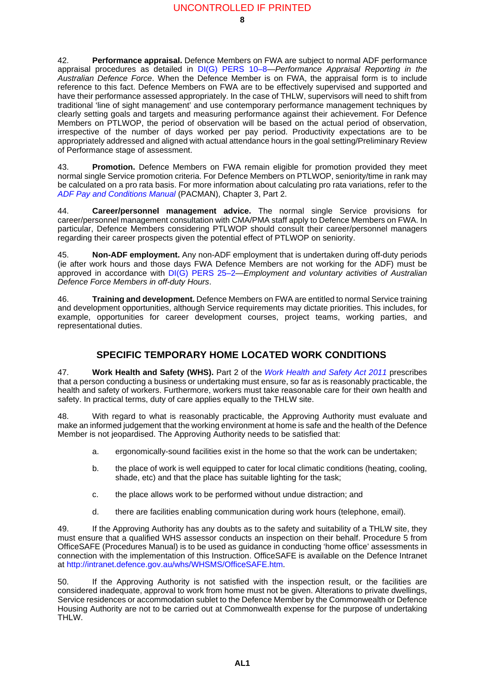42. **Performance appraisal.** Defence Members on FWA are subject to normal ADF performance appraisal procedures as detailed in [DI\(G\) PERS 10–8](http://intranet.defence.gov.au/home/documents/DATA/ADFPUBS/DIG/GP10_8.PDF)—*Performance Appraisal Reporting in the Australian Defence Force*. When the Defence Member is on FWA, the appraisal form is to include reference to this fact. Defence Members on FWA are to be effectively supervised and supported and have their performance assessed appropriately. In the case of THLW, supervisors will need to shift from traditional 'line of sight management' and use contemporary performance management techniques by clearly setting goals and targets and measuring performance against their achievement. For Defence Members on PTLWOP, the period of observation will be based on the actual period of observation, irrespective of the number of days worked per pay period. Productivity expectations are to be appropriately addressed and aligned with actual attendance hours in the goal setting/Preliminary Review of Performance stage of assessment.

43. **Promotion.** Defence Members on FWA remain eligible for promotion provided they meet normal single Service promotion criteria. For Defence Members on PTLWOP, seniority/time in rank may be calculated on a pro rata basis. For more information about calculating pro rata variations, refer to the *[ADF Pay and Conditions Manual](http://intranet.defence.gov.au/pac/)* (PACMAN), Chapter 3, Part 2.

44. **Career/personnel management advice.** The normal single Service provisions for career/personnel management consultation with CMA/PMA staff apply to Defence Members on FWA. In particular, Defence Members considering PTLWOP should consult their career/personnel managers regarding their career prospects given the potential effect of PTLWOP on seniority.

45. **Non-ADF employment.** Any non-ADF employment that is undertaken during off-duty periods (ie after work hours and those days FWA Defence Members are not working for the ADF) must be approved in accordance with [DI\(G\) PERS 25–2](http://intranet.defence.gov.au/home/documents/DATA/ADFPUBS/DIG/GP25_02.PDF)—*Employment and voluntary activities of Australian Defence Force Members in off-duty Hours*.

46. **Training and development.** Defence Members on FWA are entitled to normal Service training and development opportunities, although Service requirements may dictate priorities. This includes, for example, opportunities for career development courses, project teams, working parties, and representational duties.

## **SPECIFIC TEMPORARY HOME LOCATED WORK CONDITIONS <sup>47</sup>**

47. **Work Health and Safety (WHS).** Part 2 of the *[Work Health and Safety Act 2011](http://www.comlaw.gov.au/Series/C2011A00137)* prescribes that a person conducting a business or undertaking must ensure, so far as is reasonably practicable, the health and safety of workers. Furthermore, workers must take reasonable care for their own health and safety. In practical terms, duty of care applies equally to the THLW site.

48. With regard to what is reasonably practicable, the Approving Authority must evaluate and make an informed judgement that the working environment at home is safe and the health of the Defence Member is not jeopardised. The Approving Authority needs to be satisfied that:

- a. ergonomically-sound facilities exist in the home so that the work can be undertaken;
- b. the place of work is well equipped to cater for local climatic conditions (heating, cooling, shade, etc) and that the place has suitable lighting for the task;
- c. the place allows work to be performed without undue distraction; and
- d. there are facilities enabling communication during work hours (telephone, email).

49. If the Approving Authority has any doubts as to the safety and suitability of a THLW site, they must ensure that a qualified WHS assessor conducts an inspection on their behalf. Procedure 5 from OfficeSAFE (Procedures Manual) is to be used as guidance in conducting 'home office' assessments in connection with the implementation of this Instruction. OfficeSAFE is available on the Defence Intranet at <http://intranet.defence.gov.au/whs/WHSMS/OfficeSAFE.htm>.

50. If the Approving Authority is not satisfied with the inspection result, or the facilities are considered inadequate, approval to work from home must not be given. Alterations to private dwellings, Service residences or accommodation sublet to the Defence Member by the Commonwealth or Defence Housing Authority are not to be carried out at Commonwealth expense for the purpose of undertaking THLW.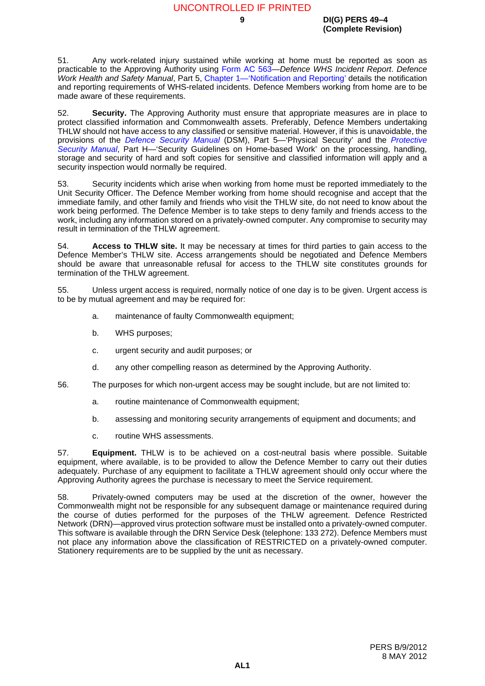51. Any work-related injury sustained while working at home must be reported as soon as practicable to the Approving Authority using [Form AC 563—](http://intranet.defence.gov.au/webforms/form?AC563)*Defence WHS Incident Report*. *Defence Work Health and Safety Manual*, Part 5, [Chapter 1—'Notification and Reporting'](http://intranet.defence.gov.au/home/documents/data/DEFPUBS/DEPTMAN/SAFETYMANV1/V1P5/01.pdf) details the notification and reporting requirements of WHS-related incidents. Defence Members working from home are to be made aware of these requirements.

52. **Security.** The Approving Authority must ensure that appropriate measures are in place to protect classified information and Commonwealth assets. Preferably, Defence Members undertaking THLW should not have access to any classified or sensitive material. However, if this is unavoidable, the provisions of the *[Defence Security Manual](http://intranet.defence.gov.au/dsa/DSM/)* (DSM), Part 5—'Physical Security' and the *[Protective](http://intranet.defence.gov.au/home/documents/data/cwpubs/psm/psm.htm) [Security Manual](http://intranet.defence.gov.au/home/documents/data/cwpubs/psm/psm.htm)*, Part H—'Security Guidelines on Home-based Work' on the processing, handling, storage and security of hard and soft copies for sensitive and classified information will apply and a security inspection would normally be required.

53. Security incidents which arise when working from home must be reported immediately to the Unit Security Officer. The Defence Member working from home should recognise and accept that the immediate family, and other family and friends who visit the THLW site, do not need to know about the work being performed. The Defence Member is to take steps to deny family and friends access to the work, including any information stored on a privately-owned computer. Any compromise to security may result in termination of the THLW agreement.

54. **Access to THLW site.** It may be necessary at times for third parties to gain access to the Defence Member's THLW site. Access arrangements should be negotiated and Defence Members should be aware that unreasonable refusal for access to the THLW site constitutes grounds for termination of the THLW agreement.

55. Unless urgent access is required, normally notice of one day is to be given. Urgent access is to be by mutual agreement and may be required for:

- a. maintenance of faulty Commonwealth equipment;
- b. WHS purposes;
- c. urgent security and audit purposes; or
- d. any other compelling reason as determined by the Approving Authority.
- 56. The purposes for which non-urgent access may be sought include, but are not limited to:
	- a. routine maintenance of Commonwealth equipment;
	- b. assessing and monitoring security arrangements of equipment and documents; and
	- c. routine WHS assessments.

57. **Equipment.** THLW is to be achieved on a cost-neutral basis where possible. Suitable equipment, where available, is to be provided to allow the Defence Member to carry out their duties adequately. Purchase of any equipment to facilitate a THLW agreement should only occur where the Approving Authority agrees the purchase is necessary to meet the Service requirement.

58. Privately-owned computers may be used at the discretion of the owner, however the Commonwealth might not be responsible for any subsequent damage or maintenance required during the course of duties performed for the purposes of the THLW agreement. Defence Restricted Network (DRN)—approved virus protection software must be installed onto a privately-owned computer. This software is available through the DRN Service Desk (telephone: 133 272). Defence Members must not place any information above the classification of RESTRICTED on a privately-owned computer. Stationery requirements are to be supplied by the unit as necessary.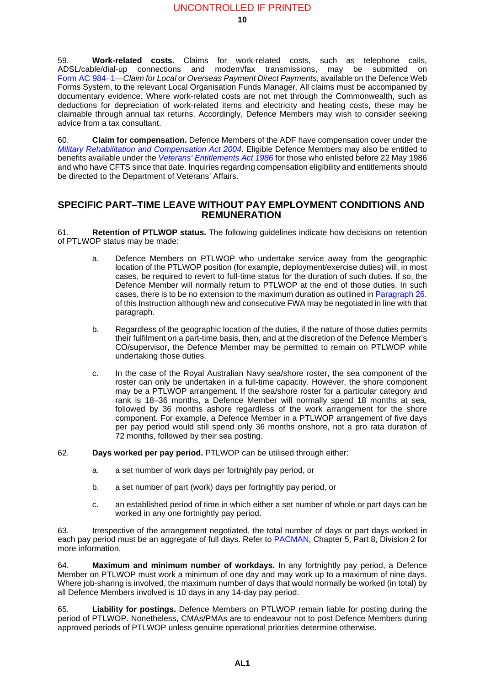59. **Work-related costs.** Claims for work-related costs, such as telephone calls, ADSL/cable/dial-up connections and modem/fax transmissions, may be submitted on Form AC [984–1](http://intranet.defence.gov.au/webforms/form?AC984-1)—*Claim for Local or Overseas Payment Direct Payments*, available on the Defence Web Forms System, to the relevant Local Organisation Funds Manager. All claims must be accompanied by documentary evidence. Where work-related costs are not met through the Commonwealth, such as deductions for depreciation of work-related items and electricity and heating costs, these may be claimable through annual tax returns. Accordingly, Defence Members may wish to consider seeking advice from a tax consultant.

60. **Claim for compensation.** Defence Members of the ADF have compensation cover under the *[Military Rehabilitation and Compensation Act 2004](http://www.comlaw.gov.au/Series/C2004A01285)*. Eligible Defence Members may also be entitled to benefits available under the *[Veterans' Entitlements Act 1986](http://www.comlaw.gov.au/Series/C2004A03268)* for those who enlisted before 22 May 1986 and who have CFTS since that date. Inquiries regarding compensation eligibility and entitlements should be directed to the Department of Veterans' Affairs.

### **SPECIFIC PART–TIME LEAVE WITHOUT PAY EMPLOYMENT CONDITIONS AND REMUNERATION <sup>61</sup>**

61. **Retention of PTLWOP status.** The following guidelines indicate how decisions on retention of PTLWOP status may be made:

- a. Defence Members on PTLWOP who undertake service away from the geographic location of the PTLWOP position (for example, deployment/exercise duties) will, in most cases, be required to revert to full-time status for the duration of such duties. If so, the Defence Member will normally return to PTLWOP at the end of those duties. In such cases, there is to be no extension to the maximum duration as outlined in [Paragraph](#page-7-0) 26. of this Instruction although new and consecutive FWA may be negotiated in line with that paragraph.
- b. Regardless of the geographic location of the duties, if the nature of those duties permits their fulfilment on a part-time basis, then, and at the discretion of the Defence Member's CO/supervisor, the Defence Member may be permitted to remain on PTLWOP while undertaking those duties.
- c. In the case of the Royal Australian Navy sea/shore roster, the sea component of the roster can only be undertaken in a full-time capacity. However, the shore component may be a PTLWOP arrangement. If the sea/shore roster for a particular category and rank is 18–36 months, a Defence Member will normally spend 18 months at sea, followed by 36 months ashore regardless of the work arrangement for the shore component. For example, a Defence Member in a PTLWOP arrangement of five days per pay period would still spend only 36 months onshore, not a pro rata duration of 72 months, followed by their sea posting.
- 62. **Days worked per pay period.** PTLWOP can be utilised through either:
	- a. a set number of work days per fortnightly pay period, or
	- b. a set number of part (work) days per fortnightly pay period, or
	- c. an established period of time in which either a set number of whole or part days can be worked in any one fortnightly pay period.

63. Irrespective of the arrangement negotiated, the total number of days or part days worked in each pay period must be an aggregate of full days. Refer to [PACMAN](http://intranet.defence.gov.au/pac/), Chapter 5, Part 8, Division 2 for more information.

64. **Maximum and minimum number of workdays.** In any fortnightly pay period, a Defence Member on PTLWOP must work a minimum of one day and may work up to a maximum of nine days. Where job-sharing is involved, the maximum number of days that would normally be worked (in total) by all Defence Members involved is 10 days in any 14-day pay period.

65. **Liability for postings.** Defence Members on PTLWOP remain liable for posting during the period of PTLWOP. Nonetheless, CMAs/PMAs are to endeavour not to post Defence Members during approved periods of PTLWOP unless genuine operational priorities determine otherwise.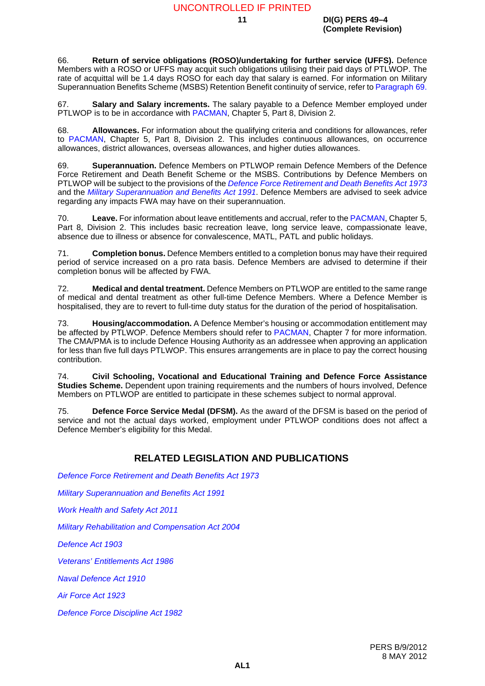#### **11 DI(G) PERS 49–4 (Complete Revision)**

66. **Return of service obligations (ROSO)/undertaking for further service (UFFS).** Defence Members with a ROSO or UFFS may acquit such obligations utilising their paid days of PTLWOP. The rate of acquittal will be 1.4 days ROSO for each day that salary is earned. For information on Military Superannuation Benefits Scheme (MSBS) Retention Benefit continuity of service, refer to [Paragraph](#page-12-0) 69.

67. **Salary and Salary increments.** The salary payable to a Defence Member employed under PTLWOP is to be in accordance with [PACMAN](http://intranet.defence.gov.au/pac/), Chapter 5, Part 8, Division 2.

68. **Allowances.** For information about the qualifying criteria and conditions for allowances, refer to [PACMAN](http://intranet.defence.gov.au/pac/), Chapter 5, Part 8, Division 2. This includes continuous allowances, on occurrence allowances, district allowances, overseas allowances, and higher duties allowances.

<span id="page-12-0"></span>69. **Superannuation.** Defence Members on PTLWOP remain Defence Members of the Defence Force Retirement and Death Benefit Scheme or the MSBS. Contributions by Defence Members on PTLWOP will be subject to the provisions of the *[Defence Force Retirement and Death Benefits Act](http://www.comlaw.gov.au/Series/C2004A00006) 1973* and the *[Military Superannuation and Benefits Act 1991](http://www.comlaw.gov.au/Series/C2004A04210)*. Defence Members are advised to seek advice regarding any impacts FWA may have on their superannuation.

70. **Leave.** For information about leave entitlements and accrual, refer to the [PACMAN,](http://intranet.defence.gov.au/pac/) Chapter 5, Part 8, Division 2. This includes basic recreation leave, long service leave, compassionate leave, absence due to illness or absence for convalescence, MATL, PATL and public holidays.

71. **Completion bonus.** Defence Members entitled to a completion bonus may have their required period of service increased on a pro rata basis. Defence Members are advised to determine if their completion bonus will be affected by FWA.

72. **Medical and dental treatment.** Defence Members on PTLWOP are entitled to the same range of medical and dental treatment as other full-time Defence Members. Where a Defence Member is hospitalised, they are to revert to full-time duty status for the duration of the period of hospitalisation.

73. **Housing/accommodation.** A Defence Member's housing or accommodation entitlement may be affected by PTLWOP. Defence Members should refer to [PACMAN](http://intranet.defence.gov.au/pac/), Chapter 7 for more information. The CMA/PMA is to include Defence Housing Authority as an addressee when approving an application for less than five full days PTLWOP. This ensures arrangements are in place to pay the correct housing contribution.

74. **Civil Schooling, Vocational and Educational Training and Defence Force Assistance Studies Scheme.** Dependent upon training requirements and the numbers of hours involved, Defence Members on PTLWOP are entitled to participate in these schemes subject to normal approval.

75. **Defence Force Service Medal (DFSM).** As the award of the DFSM is based on the period of service and not the actual days worked, employment under PTLWOP conditions does not affect a Defence Member's eligibility for this Medal.

## **RELATED LEGISLATION AND PUBLICATIONS <sup>76</sup>**

*[Defence Force Retirement and Death Benefits Act](http://www.comlaw.gov.au/Series/C2004A00006) 1973*

*[Military Superannuation and Benefits Act 1991](http://www.comlaw.gov.au/Series/C2004A04210)*

*[Work Health and Safety Act 2011](http://www.comlaw.gov.au/Series/C2011A00137)*

*[Military Rehabilitation and Compensation Act 2004](http://www.comlaw.gov.au/Series/C2004A01285)*

*[Defence Act 1903](http://www.comlaw.gov.au/Series/C2004A07381)*

*[Veterans' Entitlements Act 1986](http://www.comlaw.gov.au/Series/C2004A03268)*

*[Naval Defence Act 1910](http://www.comlaw.gov.au/Series/C2004A07382)*

*[Air Force Act 1923](http://www.comlaw.gov.au/Series/C2004A07383)*

*[Defence Force Discipline Act 1982](http://www.comlaw.gov.au/Series/C2004A02711)*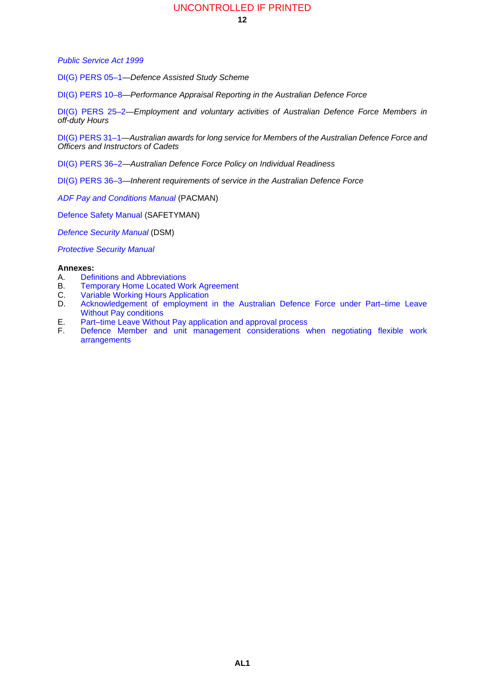#### *[Public Service Act 1999](http://www.comlaw.gov.au/Series/C2004A00538)*

[DI\(G\) PERS 05–1](http://intranet.defence.gov.au/home/documents/DATA/ADFPUBS/DIG/gp05_1.pdf)—*Defence Assisted Study Scheme*

[DI\(G\) PERS 10–8](http://intranet.defence.gov.au/home/documents/DATA/ADFPUBS/DIG/GP10_8.PDF)—*Performance Appraisal Reporting in the Australian Defence Force*

[DI\(G\) PERS 25–2](http://intranet.defence.gov.au/home/documents/DATA/ADFPUBS/DIG/GP25_02.PDF)—*Employment and voluntary activities of Australian Defence Force Members in off-duty Hours*

[DI\(G\) PERS 31–1](http://intranet.defence.gov.au/home/documents/DATA/ADFPUBS/DIG/GP31_01.PDF)—*Australian awards for long service for Members of the Australian Defence Force and Officers and Instructors of Cadets*

[DI\(G\) PERS 36–2](http://intranet.defence.gov.au/home/documents/DATA/ADFPUBS/DIG/GP36_02.PDF)—*Australian Defence Force Policy on Individual Readiness*

[DI\(G\) PERS 36–3](http://intranet.defence.gov.au/home/documents/DATA/ADFPUBS/DIG/GP36_03.PDF)—*Inherent requirements of service in the Australian Defence Force*

*[ADF Pay and Conditions Manual](http://intranet.defence.gov.au/pac/)* (PACMAN)

[Defence Safety Manual](http://intranet.defence.gov.au/home/documents/departmental/manuals/safetymanv1.htm) (SAFETYMAN)

*[Defence Security Manual](http://intranet.defence.gov.au/dsa/DSM/)* (DSM)

*[Protective Security Manual](http://intranet.defence.gov.au/home/documents/data/cwpubs/psm/psm.htm)*

#### **Annexes:**

- A. [Definitions and Abbreviations](#page-14-0)
- B. [Temporary Home Located Work Agreement](#page-16-0)
- C. [Variable Working Hours Application](#page-18-0)<br>D. Acknowledgement of employment
- Acknowledgement of employment in the Australian Defence Force under Part-time Leave [Without Pay conditions](#page-20-0)
- E. [Part–time Leave Without Pay application and approval process](#page-22-0)
- [Defence Member and unit management considerations when negotiating flexible work](#page-24-0) [arrangements](#page-24-0)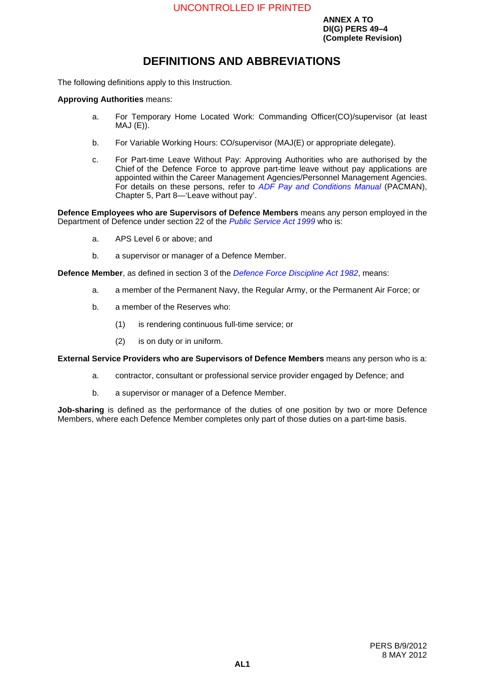**ANNEX A TO DI(G) PERS 49–4 (Complete Revision)**

# <span id="page-14-0"></span>**DEFINITIONS AND ABBREVIATIONS**

The following definitions apply to this Instruction.

#### **Approving Authorities** means:

- a. For Temporary Home Located Work: Commanding Officer(CO)/supervisor (at least  $MAJ(E)$ ).
- b. For Variable Working Hours: CO/supervisor (MAJ(E) or appropriate delegate).
- c. For Part-time Leave Without Pay: Approving Authorities who are authorised by the Chief of the Defence Force to approve part-time leave without pay applications are appointed within the Career Management Agencies/Personnel Management Agencies. For details on these persons, refer to *[ADF Pay and Conditions Manual](http://intranet.defence.gov.au/pac/)* (PACMAN), Chapter 5, Part 8—'Leave without pay'.

**Defence Employees who are Supervisors of Defence Members** means any person employed in the Department of Defence under section 22 of the *[Public Service Act 1999](http://www.comlaw.gov.au/Series/C2004A00538)* who is:

- a. APS Level 6 or above; and
- b. a supervisor or manager of a Defence Member.

**Defence Member**, as defined in section 3 of the *[Defence Force Discipline Act 1982](http://www.comlaw.gov.au/Series/C2004A02711)*, means:

- a. a member of the Permanent Navy, the Regular Army, or the Permanent Air Force; or
- b. a member of the Reserves who:
	- (1) is rendering continuous full-time service; or
	- (2) is on duty or in uniform.

**External Service Providers who are Supervisors of Defence Members** means any person who is a:

- a. contractor, consultant or professional service provider engaged by Defence; and
- b. a supervisor or manager of a Defence Member.

**Job-sharing** is defined as the performance of the duties of one position by two or more Defence Members, where each Defence Member completes only part of those duties on a part-time basis.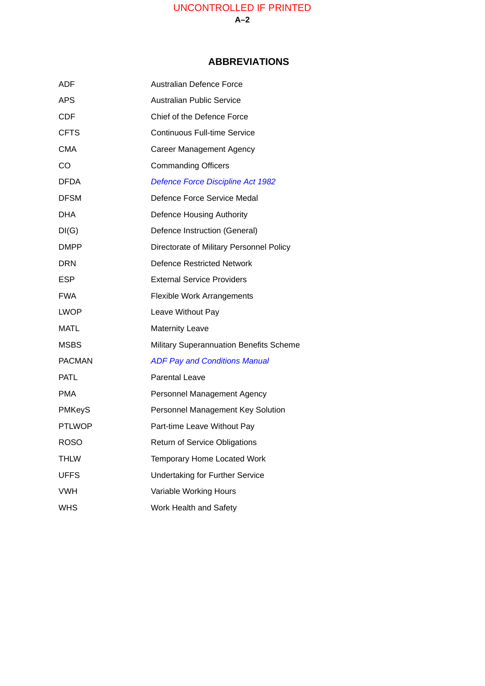## **ABBREVIATIONS <sup>1</sup>**

| ADF           | <b>Australian Defence Force</b>                |
|---------------|------------------------------------------------|
| <b>APS</b>    | <b>Australian Public Service</b>               |
| <b>CDF</b>    | Chief of the Defence Force                     |
| <b>CFTS</b>   | <b>Continuous Full-time Service</b>            |
| <b>CMA</b>    | <b>Career Management Agency</b>                |
| <b>CO</b>     | <b>Commanding Officers</b>                     |
| <b>DFDA</b>   | <b>Defence Force Discipline Act 1982</b>       |
| <b>DFSM</b>   | Defence Force Service Medal                    |
| <b>DHA</b>    | Defence Housing Authority                      |
| DI(G)         | Defence Instruction (General)                  |
| <b>DMPP</b>   | Directorate of Military Personnel Policy       |
| <b>DRN</b>    | <b>Defence Restricted Network</b>              |
| <b>ESP</b>    | <b>External Service Providers</b>              |
| <b>FWA</b>    | <b>Flexible Work Arrangements</b>              |
| <b>LWOP</b>   | Leave Without Pay                              |
| <b>MATL</b>   | <b>Maternity Leave</b>                         |
| <b>MSBS</b>   | <b>Military Superannuation Benefits Scheme</b> |
| <b>PACMAN</b> | <b>ADF Pay and Conditions Manual</b>           |
| <b>PATL</b>   | <b>Parental Leave</b>                          |
| <b>PMA</b>    | Personnel Management Agency                    |
| <b>PMKeyS</b> | Personnel Management Key Solution              |
| <b>PTLWOP</b> | Part-time Leave Without Pay                    |
| <b>ROSO</b>   | <b>Return of Service Obligations</b>           |
| THLW          | Temporary Home Located Work                    |
| <b>UFFS</b>   | <b>Undertaking for Further Service</b>         |
| <b>VWH</b>    | Variable Working Hours                         |
| <b>WHS</b>    | Work Health and Safety                         |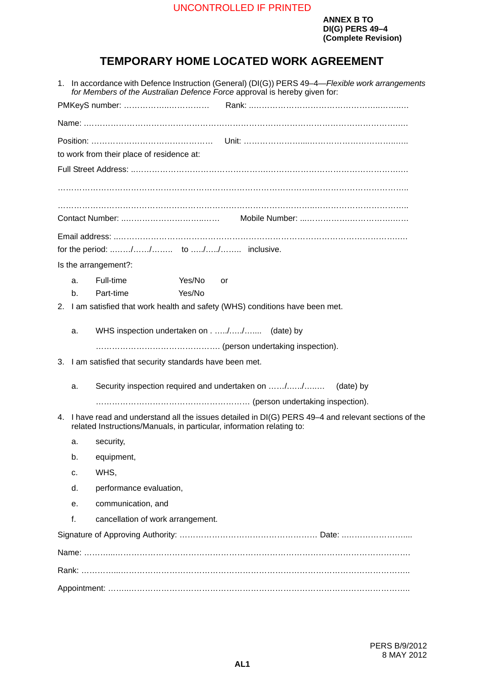**ANNEX B TO DI(G) PERS 49–4 (Complete Revision)**

# <span id="page-16-0"></span>**TEMPORARY HOME LOCATED WORK AGREEMENT <sup>B</sup>**

|                                                                               |                                                          | 1. In accordance with Defence Instruction (General) (DI(G)) PERS 49-4-Flexible work arrangements<br>for Members of the Australian Defence Force approval is hereby given for:  |
|-------------------------------------------------------------------------------|----------------------------------------------------------|--------------------------------------------------------------------------------------------------------------------------------------------------------------------------------|
|                                                                               |                                                          |                                                                                                                                                                                |
|                                                                               |                                                          |                                                                                                                                                                                |
|                                                                               |                                                          |                                                                                                                                                                                |
|                                                                               |                                                          | to work from their place of residence at:                                                                                                                                      |
|                                                                               |                                                          |                                                                                                                                                                                |
|                                                                               |                                                          |                                                                                                                                                                                |
|                                                                               |                                                          |                                                                                                                                                                                |
|                                                                               |                                                          |                                                                                                                                                                                |
|                                                                               |                                                          |                                                                                                                                                                                |
|                                                                               |                                                          | Is the arrangement?:                                                                                                                                                           |
|                                                                               | a.                                                       | Full-time<br>Yes/No<br>or                                                                                                                                                      |
|                                                                               | b.                                                       | Yes/No<br>Part-time                                                                                                                                                            |
| 2. I am satisfied that work health and safety (WHS) conditions have been met. |                                                          |                                                                                                                                                                                |
|                                                                               | a.                                                       | WHS inspection undertaken on// (date) by                                                                                                                                       |
|                                                                               |                                                          |                                                                                                                                                                                |
|                                                                               | 3. I am satisfied that security standards have been met. |                                                                                                                                                                                |
|                                                                               | a.                                                       | Security inspection required and undertaken on //<br>(date) by                                                                                                                 |
|                                                                               |                                                          |                                                                                                                                                                                |
|                                                                               |                                                          | 4. I have read and understand all the issues detailed in DI(G) PERS 49-4 and relevant sections of the<br>related Instructions/Manuals, in particular, information relating to: |
|                                                                               | a.                                                       | security,                                                                                                                                                                      |
|                                                                               | b.                                                       | equipment,                                                                                                                                                                     |
|                                                                               | c.                                                       | WHS,                                                                                                                                                                           |
|                                                                               | d.                                                       | performance evaluation,                                                                                                                                                        |
|                                                                               | е.                                                       | communication, and                                                                                                                                                             |
|                                                                               | f.                                                       | cancellation of work arrangement.                                                                                                                                              |
|                                                                               |                                                          |                                                                                                                                                                                |
|                                                                               |                                                          |                                                                                                                                                                                |
|                                                                               |                                                          |                                                                                                                                                                                |
|                                                                               |                                                          |                                                                                                                                                                                |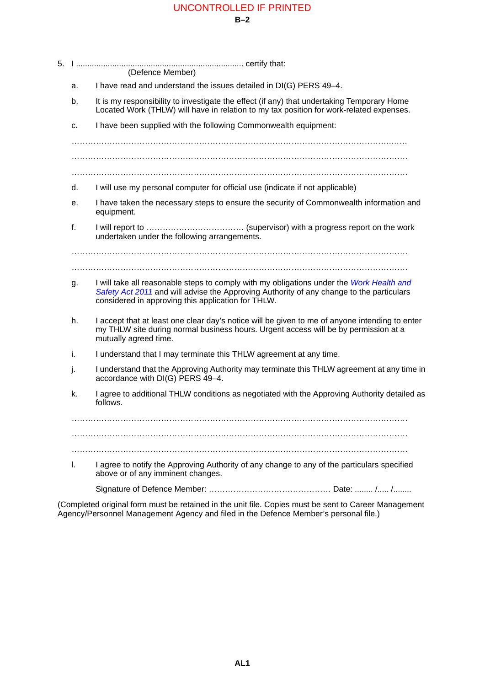|    | (Defence Member)                                                                                                                                                                                                                           |
|----|--------------------------------------------------------------------------------------------------------------------------------------------------------------------------------------------------------------------------------------------|
| a. | I have read and understand the issues detailed in DI(G) PERS 49-4.                                                                                                                                                                         |
| b. | It is my responsibility to investigate the effect (if any) that undertaking Temporary Home<br>Located Work (THLW) will have in relation to my tax position for work-related expenses.                                                      |
| c. | I have been supplied with the following Commonwealth equipment:                                                                                                                                                                            |
|    |                                                                                                                                                                                                                                            |
|    |                                                                                                                                                                                                                                            |
| d. | I will use my personal computer for official use (indicate if not applicable)                                                                                                                                                              |
| е. | I have taken the necessary steps to ensure the security of Commonwealth information and<br>equipment.                                                                                                                                      |
| f. | undertaken under the following arrangements.                                                                                                                                                                                               |
|    |                                                                                                                                                                                                                                            |
| g. | I will take all reasonable steps to comply with my obligations under the Work Health and<br>Safety Act 2011 and will advise the Approving Authority of any change to the particulars<br>considered in approving this application for THLW. |
| h. | I accept that at least one clear day's notice will be given to me of anyone intending to enter<br>my THLW site during normal business hours. Urgent access will be by permission at a<br>mutually agreed time.                             |
| İ. | I understand that I may terminate this THLW agreement at any time.                                                                                                                                                                         |
| J. | I understand that the Approving Authority may terminate this THLW agreement at any time in<br>accordance with DI(G) PERS 49-4.                                                                                                             |
| k. | I agree to additional THLW conditions as negotiated with the Approving Authority detailed as<br>follows.                                                                                                                                   |
|    |                                                                                                                                                                                                                                            |
|    |                                                                                                                                                                                                                                            |
| I. | I agree to notify the Approving Authority of any change to any of the particulars specified<br>above or of any imminent changes.                                                                                                           |
|    |                                                                                                                                                                                                                                            |

(Completed original form must be retained in the unit file. Copies must be sent to Career Management Agency/Personnel Management Agency and filed in the Defence Member's personal file.)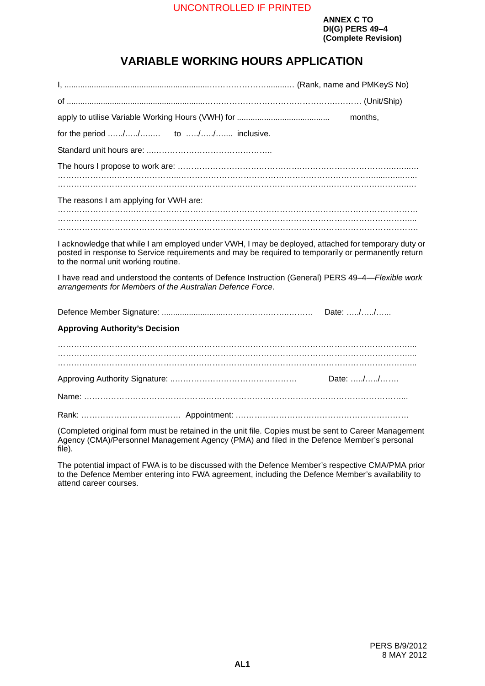# <span id="page-18-0"></span>**VARIABLE WORKING HOURS APPLICATION**

| months,                                                                                                                                                                                                                                           |
|---------------------------------------------------------------------------------------------------------------------------------------------------------------------------------------------------------------------------------------------------|
|                                                                                                                                                                                                                                                   |
|                                                                                                                                                                                                                                                   |
|                                                                                                                                                                                                                                                   |
|                                                                                                                                                                                                                                                   |
| The reasons I am applying for VWH are:                                                                                                                                                                                                            |
|                                                                                                                                                                                                                                                   |
|                                                                                                                                                                                                                                                   |
| I acknowledge that while I am employed under VWH, I may be deployed, attached for temporary duty or<br>posted in response to Service requirements and may be required to temporarily or permanently return<br>to the normal unit working routine. |
| I have read and understood the contents of Defence Instruction (General) PERS 49-4-Flexible work<br>arrangements for Members of the Australian Defence Force.                                                                                     |
| Date: //                                                                                                                                                                                                                                          |
| <b>Approving Authority's Decision</b>                                                                                                                                                                                                             |
|                                                                                                                                                                                                                                                   |
|                                                                                                                                                                                                                                                   |
| Date: //                                                                                                                                                                                                                                          |
|                                                                                                                                                                                                                                                   |
|                                                                                                                                                                                                                                                   |

(Completed original form must be retained in the unit file. Copies must be sent to Career Management Agency (CMA)/Personnel Management Agency (PMA) and filed in the Defence Member's personal file).

The potential impact of FWA is to be discussed with the Defence Member's respective CMA/PMA prior to the Defence Member entering into FWA agreement, including the Defence Member's availability to attend career courses.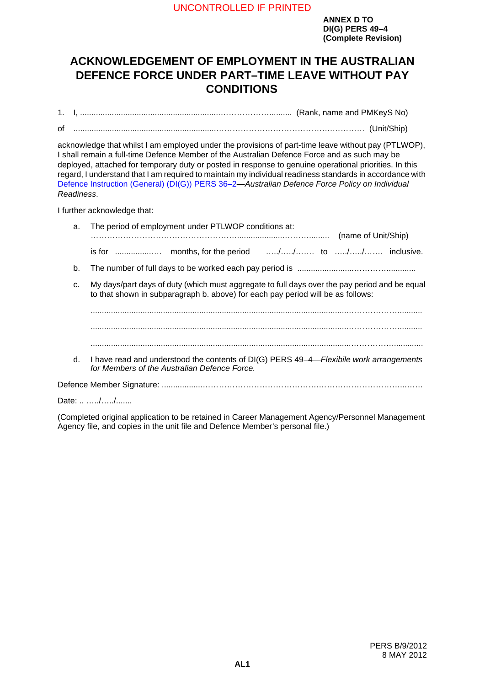# <span id="page-20-0"></span>**ACKNOWLEDGEMENT OF EMPLOYMENT IN THE AUSTRALIAN DEFENCE FORCE UNDER PART–TIME LEAVE WITHOUT PAY CONDITIONS**

1. I, ..............................................................……………….......... (Rank, name and PMKeyS No)

of ...............................................................…………………………………….………… (Unit/Ship)

acknowledge that whilst I am employed under the provisions of part-time leave without pay (PTLWOP), I shall remain a full-time Defence Member of the Australian Defence Force and as such may be deployed, attached for temporary duty or posted in response to genuine operational priorities. In this regard, I understand that I am required to maintain my individual readiness standards in accordance with [Defence Instruction \(General\) \(DI\(G\)\) PERS 36–2—](http://intranet.defence.gov.au/home/documents/DATA/ADFPUBS/DIG/GP36_02.PDF)*Australian Defence Force Policy on Individual Readiness*.

I further acknowledge that:

| a. | The period of employment under PTLWOP conditions at:<br>(name of Unit/Ship)                                                                                                      |
|----|----------------------------------------------------------------------------------------------------------------------------------------------------------------------------------|
|    |                                                                                                                                                                                  |
| b. |                                                                                                                                                                                  |
| C. | My days/part days of duty (which must aggregate to full days over the pay period and be equal<br>to that shown in subparagraph b. above) for each pay period will be as follows: |
|    |                                                                                                                                                                                  |
| d. | I have read and understood the contents of DI(G) PERS 49-4-Flexibile work arrangements<br>for Members of the Australian Defence Force.                                           |
|    |                                                                                                                                                                                  |

Date: .. ...../...../.......

(Completed original application to be retained in Career Management Agency/Personnel Management Agency file, and copies in the unit file and Defence Member's personal file.)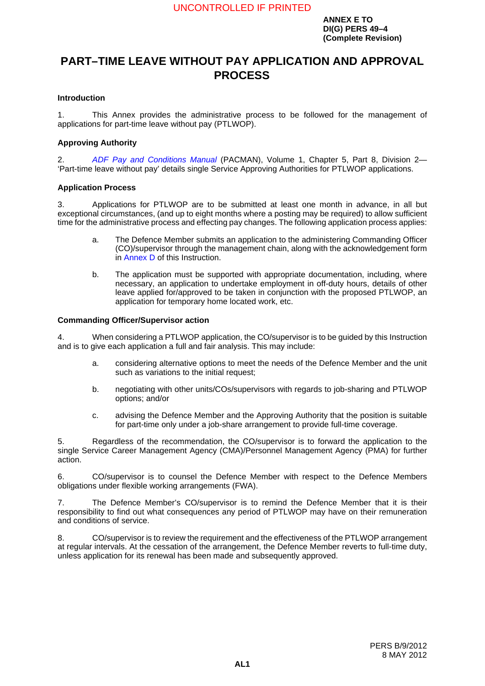# <span id="page-22-0"></span>**PART–TIME LEAVE WITHOUT PAY APPLICATION AND APPROVAL PROCESS**

#### **Introduction <sup>1</sup>**

1. This Annex provides the administrative process to be followed for the management of applications for part-time leave without pay (PTLWOP).

#### **Approving Authority <sup>2</sup>**

2. *[ADF Pay and Conditions Manual](http://intranet.defence.gov.au/pac/)* (PACMAN), Volume 1, Chapter 5, Part 8, Division 2— 'Part-time leave without pay' details single Service Approving Authorities for PTLWOP applications.

#### **Application Process <sup>3</sup>**

3. Applications for PTLWOP are to be submitted at least one month in advance, in all but exceptional circumstances, (and up to eight months where a posting may be required) to allow sufficient time for the administrative process and effecting pay changes. The following application process applies:

- a. The Defence Member submits an application to the administering Commanding Officer (CO)/supervisor through the management chain, along with the acknowledgement form in [Annex](#page-20-0) D of this Instruction.
- b. The application must be supported with appropriate documentation, including, where necessary, an application to undertake employment in off-duty hours, details of other leave applied for/approved to be taken in conjunction with the proposed PTLWOP, an application for temporary home located work, etc.

#### **Commanding Officer/Supervisor action <sup>4</sup>**

4. When considering a PTLWOP application, the CO/supervisor is to be guided by this Instruction and is to give each application a full and fair analysis. This may include:

- a. considering alternative options to meet the needs of the Defence Member and the unit such as variations to the initial request:
- b. negotiating with other units/COs/supervisors with regards to iob-sharing and PTLWOP options; and/or
- c. advising the Defence Member and the Approving Authority that the position is suitable for part-time only under a job-share arrangement to provide full-time coverage.

5. Regardless of the recommendation, the CO/supervisor is to forward the application to the single Service Career Management Agency (CMA)/Personnel Management Agency (PMA) for further action.

6. CO/supervisor is to counsel the Defence Member with respect to the Defence Members obligations under flexible working arrangements (FWA).

7. The Defence Member's CO/supervisor is to remind the Defence Member that it is their responsibility to find out what consequences any period of PTLWOP may have on their remuneration and conditions of service.

8. CO/supervisor is to review the requirement and the effectiveness of the PTLWOP arrangement at regular intervals. At the cessation of the arrangement, the Defence Member reverts to full-time duty, unless application for its renewal has been made and subsequently approved.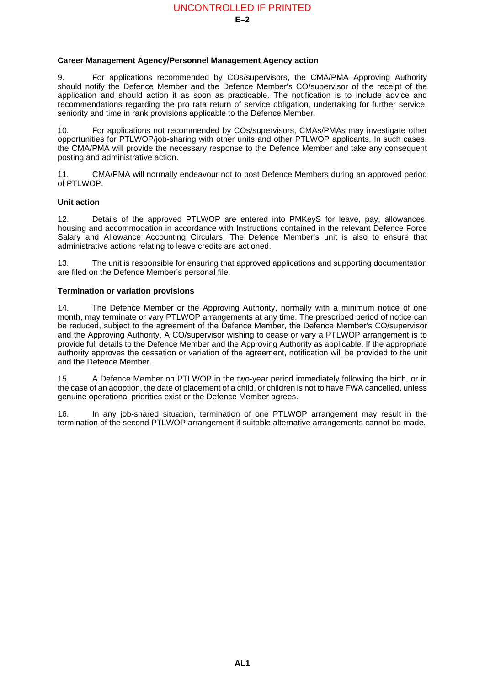#### **Career Management Agency/Personnel Management Agency action <sup>9</sup>**

9. For applications recommended by COs/supervisors, the CMA/PMA Approving Authority should notify the Defence Member and the Defence Member's CO/supervisor of the receipt of the application and should action it as soon as practicable. The notification is to include advice and recommendations regarding the pro rata return of service obligation, undertaking for further service, seniority and time in rank provisions applicable to the Defence Member.

10. For applications not recommended by COs/supervisors, CMAs/PMAs may investigate other opportunities for PTLWOP/job-sharing with other units and other PTLWOP applicants. In such cases, the CMA/PMA will provide the necessary response to the Defence Member and take any consequent posting and administrative action.

11. CMA/PMA will normally endeavour not to post Defence Members during an approved period of PTLWOP.

#### **Unit action <sup>12</sup>**

12. Details of the approved PTLWOP are entered into PMKeyS for leave, pay, allowances, housing and accommodation in accordance with Instructions contained in the relevant Defence Force Salary and Allowance Accounting Circulars. The Defence Member's unit is also to ensure that administrative actions relating to leave credits are actioned.

13. The unit is responsible for ensuring that approved applications and supporting documentation are filed on the Defence Member's personal file.

#### **Termination or variation provisions**

14. The Defence Member or the Approving Authority, normally with a minimum notice of one month, may terminate or vary PTLWOP arrangements at any time. The prescribed period of notice can be reduced, subject to the agreement of the Defence Member, the Defence Member's CO/supervisor and the Approving Authority. A CO/supervisor wishing to cease or vary a PTLWOP arrangement is to provide full details to the Defence Member and the Approving Authority as applicable. If the appropriate authority approves the cessation or variation of the agreement, notification will be provided to the unit and the Defence Member.

15. A Defence Member on PTLWOP in the two-year period immediately following the birth, or in the case of an adoption, the date of placement of a child, or children is not to have FWA cancelled, unless genuine operational priorities exist or the Defence Member agrees.

16. In any job-shared situation, termination of one PTLWOP arrangement may result in the termination of the second PTLWOP arrangement if suitable alternative arrangements cannot be made.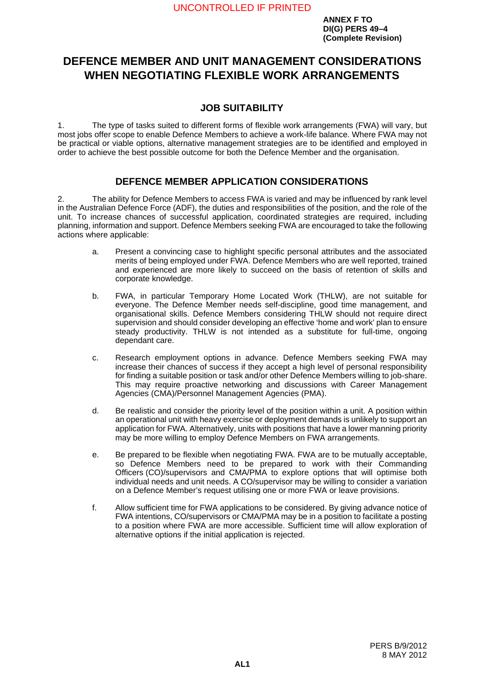# <span id="page-24-0"></span>**DEFENCE MEMBER AND UNIT MANAGEMENT CONSIDERATIONS WHEN NEGOTIATING FLEXIBLE WORK ARRANGEMENTS <sup>F</sup>**

## **JOB SUITABILITY <sup>1</sup>**

1. The type of tasks suited to different forms of flexible work arrangements (FWA) will vary, but most jobs offer scope to enable Defence Members to achieve a work-life balance. Where FWA may not be practical or viable options, alternative management strategies are to be identified and employed in order to achieve the best possible outcome for both the Defence Member and the organisation.

## **DEFENCE MEMBER APPLICATION CONSIDERATIONS <sup>2</sup>**

2. The ability for Defence Members to access FWA is varied and may be influenced by rank level in the Australian Defence Force (ADF), the duties and responsibilities of the position, and the role of the unit. To increase chances of successful application, coordinated strategies are required, including planning, information and support. Defence Members seeking FWA are encouraged to take the following actions where applicable:

- a. Present a convincing case to highlight specific personal attributes and the associated merits of being employed under FWA. Defence Members who are well reported, trained and experienced are more likely to succeed on the basis of retention of skills and corporate knowledge.
- b. FWA, in particular Temporary Home Located Work (THLW), are not suitable for everyone. The Defence Member needs self-discipline, good time management, and organisational skills. Defence Members considering THLW should not require direct supervision and should consider developing an effective 'home and work' plan to ensure steady productivity. THLW is not intended as a substitute for full-time, ongoing dependant care.
- c. Research employment options in advance. Defence Members seeking FWA may increase their chances of success if they accept a high level of personal responsibility for finding a suitable position or task and/or other Defence Members willing to job-share. This may require proactive networking and discussions with Career Management Agencies (CMA)/Personnel Management Agencies (PMA).
- d. Be realistic and consider the priority level of the position within a unit. A position within an operational unit with heavy exercise or deployment demands is unlikely to support an application for FWA. Alternatively, units with positions that have a lower manning priority may be more willing to employ Defence Members on FWA arrangements.
- e. Be prepared to be flexible when negotiating FWA. FWA are to be mutually acceptable, so Defence Members need to be prepared to work with their Commanding Officers (CO)/supervisors and CMA/PMA to explore options that will optimise both individual needs and unit needs. A CO/supervisor may be willing to consider a variation on a Defence Member's request utilising one or more FWA or leave provisions.
- f. Allow sufficient time for FWA applications to be considered. By giving advance notice of FWA intentions, CO/supervisors or CMA/PMA may be in a position to facilitate a posting to a position where FWA are more accessible. Sufficient time will allow exploration of alternative options if the initial application is rejected.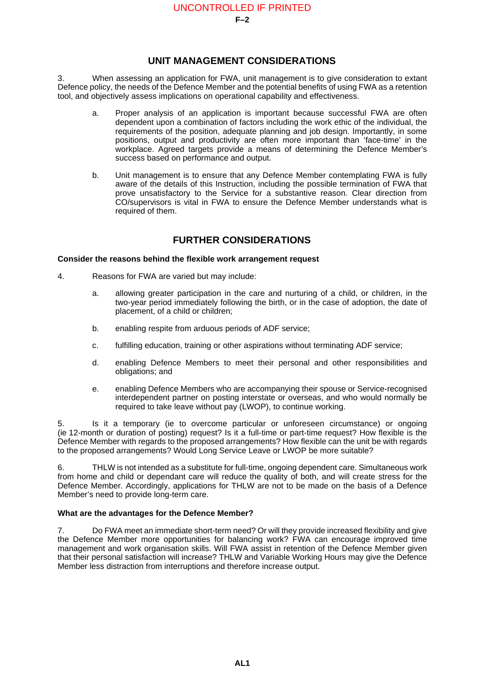## **UNIT MANAGEMENT CONSIDERATIONS <sup>3</sup>**

3. When assessing an application for FWA, unit management is to give consideration to extant Defence policy, the needs of the Defence Member and the potential benefits of using FWA as a retention tool, and objectively assess implications on operational capability and effectiveness.

- a. Proper analysis of an application is important because successful FWA are often dependent upon a combination of factors including the work ethic of the individual, the requirements of the position, adequate planning and job design. Importantly, in some positions, output and productivity are often more important than 'face-time' in the workplace. Agreed targets provide a means of determining the Defence Member's success based on performance and output.
- b. Unit management is to ensure that any Defence Member contemplating FWA is fully aware of the details of this Instruction, including the possible termination of FWA that prove unsatisfactory to the Service for a substantive reason. Clear direction from CO/supervisors is vital in FWA to ensure the Defence Member understands what is required of them.

## **FURTHER CONSIDERATIONS <sup>4</sup>**

#### **Consider the reasons behind the flexible work arrangement request <sup>4</sup>**

- 4. Reasons for FWA are varied but may include:
	- a. allowing greater participation in the care and nurturing of a child, or children, in the two-year period immediately following the birth, or in the case of adoption, the date of placement, of a child or children;
	- b. enabling respite from arduous periods of ADF service;
	- c. fulfilling education, training or other aspirations without terminating ADF service;
	- d. enabling Defence Members to meet their personal and other responsibilities and obligations; and
	- e. enabling Defence Members who are accompanying their spouse or Service-recognised interdependent partner on posting interstate or overseas, and who would normally be required to take leave without pay (LWOP), to continue working.

5. Is it a temporary (ie to overcome particular or unforeseen circumstance) or ongoing (ie 12-month or duration of posting) request? Is it a full-time or part-time request? How flexible is the Defence Member with regards to the proposed arrangements? How flexible can the unit be with regards to the proposed arrangements? Would Long Service Leave or LWOP be more suitable?

6. THLW is not intended as a substitute for full-time, ongoing dependent care. Simultaneous work from home and child or dependant care will reduce the quality of both, and will create stress for the Defence Member. Accordingly, applications for THLW are not to be made on the basis of a Defence Member's need to provide long-term care.

### **What are the advantages for the Defence Member? <sup>7</sup>**

7. Do FWA meet an immediate short-term need? Or will they provide increased flexibility and give the Defence Member more opportunities for balancing work? FWA can encourage improved time management and work organisation skills. Will FWA assist in retention of the Defence Member given that their personal satisfaction will increase? THLW and Variable Working Hours may give the Defence Member less distraction from interruptions and therefore increase output.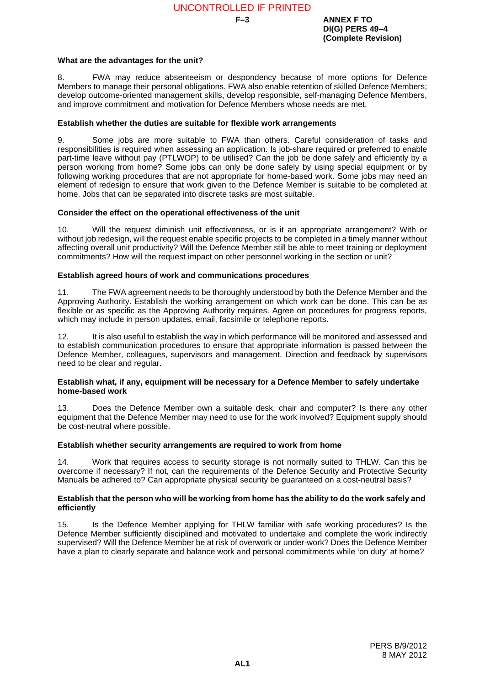**F–3 ANNEX F TO DI(G) PERS 49–4 (Complete Revision)**

#### **What are the advantages for the unit? <sup>8</sup>**

8. FWA may reduce absenteeism or despondency because of more options for Defence Members to manage their personal obligations. FWA also enable retention of skilled Defence Members; develop outcome-oriented management skills, develop responsible, self-managing Defence Members, and improve commitment and motivation for Defence Members whose needs are met.

#### **Establish whether the duties are suitable for flexible work arrangements <sup>9</sup>**

9. Some jobs are more suitable to FWA than others. Careful consideration of tasks and responsibilities is required when assessing an application. Is job-share required or preferred to enable part-time leave without pay (PTLWOP) to be utilised? Can the job be done safely and efficiently by a person working from home? Some jobs can only be done safely by using special equipment or by following working procedures that are not appropriate for home-based work. Some jobs may need an element of redesign to ensure that work given to the Defence Member is suitable to be completed at home. Jobs that can be separated into discrete tasks are most suitable.

#### **Consider the effect on the operational effectiveness of the unit <sup>10</sup>**

10. Will the request diminish unit effectiveness, or is it an appropriate arrangement? With or without job redesign, will the request enable specific projects to be completed in a timely manner without affecting overall unit productivity? Will the Defence Member still be able to meet training or deployment commitments? How will the request impact on other personnel working in the section or unit?

#### **Establish agreed hours of work and communications procedures**

11. The FWA agreement needs to be thoroughly understood by both the Defence Member and the Approving Authority. Establish the working arrangement on which work can be done. This can be as flexible or as specific as the Approving Authority requires. Agree on procedures for progress reports, which may include in person updates, email, facsimile or telephone reports.

12. It is also useful to establish the way in which performance will be monitored and assessed and to establish communication procedures to ensure that appropriate information is passed between the Defence Member, colleagues, supervisors and management. Direction and feedback by supervisors need to be clear and regular.

#### **Establish what, if any, equipment will be necessary for a Defence Member to safely undertake home-based work**

13. Does the Defence Member own a suitable desk, chair and computer? Is there any other equipment that the Defence Member may need to use for the work involved? Equipment supply should be cost-neutral where possible.

#### **Establish whether security arrangements are required to work from home <sup>14</sup>**

14. Work that requires access to security storage is not normally suited to THLW. Can this be overcome if necessary? If not, can the requirements of the Defence Security and Protective Security Manuals be adhered to? Can appropriate physical security be quaranteed on a cost-neutral basis?

#### **Establish that the person who will be working from home has the ability to do the work safely and efficiently <sup>15</sup>**

15. Is the Defence Member applying for THLW familiar with safe working procedures? Is the Defence Member sufficiently disciplined and motivated to undertake and complete the work indirectly supervised? Will the Defence Member be at risk of overwork or under-work? Does the Defence Member have a plan to clearly separate and balance work and personal commitments while 'on duty' at home?